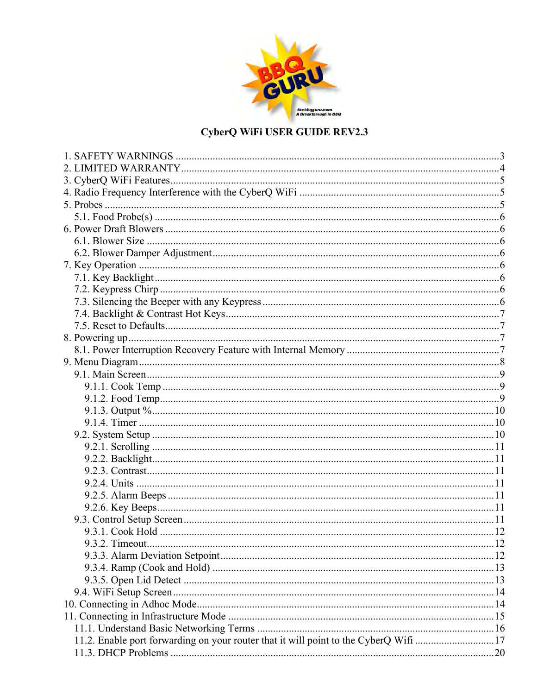

## CyberQ WiFi USER GUIDE REV2.3

| 11.2. Enable port forwarding on your router that it will point to the CyberQ Wifi 17 |  |
|--------------------------------------------------------------------------------------|--|
|                                                                                      |  |
|                                                                                      |  |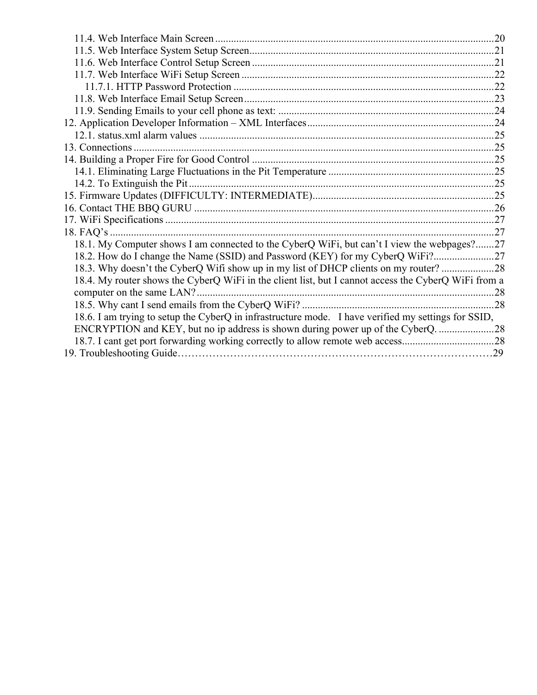| 18.1. My Computer shows I am connected to the CyberQ WiFi, but can't I view the webpages?27          |  |
|------------------------------------------------------------------------------------------------------|--|
|                                                                                                      |  |
| 18.3. Why doesn't the CyberQ Wifi show up in my list of DHCP clients on my router?28                 |  |
| 18.4. My router shows the CyberQ WiFi in the client list, but I cannot access the CyberQ WiFi from a |  |
| computer on the same LAN?                                                                            |  |
|                                                                                                      |  |
| 18.6. I am trying to setup the CyberQ in infrastructure mode. I have verified my settings for SSID,  |  |
| ENCRYPTION and KEY, but no ip address is shown during power up of the CyberQ                         |  |
|                                                                                                      |  |
|                                                                                                      |  |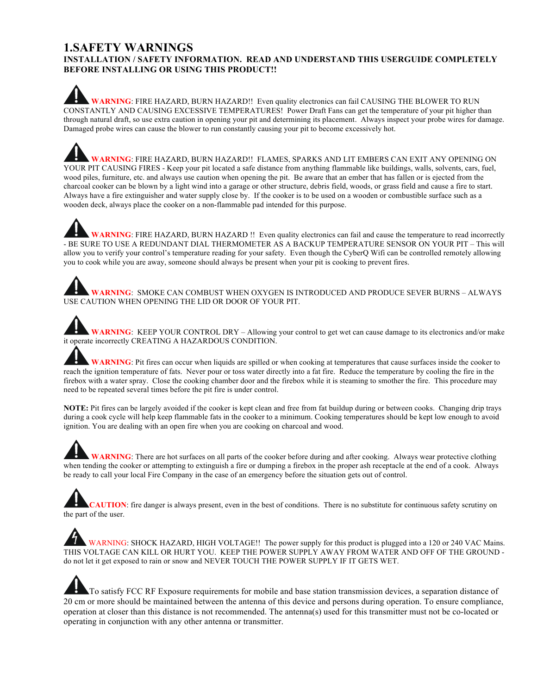#### **1.SAFETY WARNINGS INSTALLATION / SAFETY INFORMATION. READ AND UNDERSTAND THIS USERGUIDE COMPLETELY BEFORE INSTALLING OR USING THIS PRODUCT!!**

**WARNING**: FIRE HAZARD, BURN HAZARD!! Even quality electronics can fail CAUSING THE BLOWER TO RUN CONSTANTLY AND CAUSING EXCESSIVE TEMPERATURES! Power Draft Fans can get the temperature of your pit higher than through natural draft, so use extra caution in opening your pit and determining its placement. Always inspect your probe wires for damage. Damaged probe wires can cause the blower to run constantly causing your pit to become excessively hot.

**WARNING**: FIRE HAZARD, BURN HAZARD!! FLAMES, SPARKS AND LIT EMBERS CAN EXIT ANY OPENING ON YOUR PIT CAUSING FIRES - Keep your pit located a safe distance from anything flammable like buildings, walls, solvents, cars, fuel, wood piles, furniture, etc. and always use caution when opening the pit. Be aware that an ember that has fallen or is ejected from the charcoal cooker can be blown by a light wind into a garage or other structure, debris field, woods, or grass field and cause a fire to start. Always have a fire extinguisher and water supply close by. If the cooker is to be used on a wooden or combustible surface such as a wooden deck, always place the cooker on a non-flammable pad intended for this purpose.

WARNING: FIRE HAZARD, BURN HAZARD !! Even quality electronics can fail and cause the temperature to read incorrectly - BE SURE TO USE A REDUNDANT DIAL THERMOMETER AS A BACKUP TEMPERATURE SENSOR ON YOUR PIT – This will allow you to verify your control's temperature reading for your safety. Even though the CyberQ Wifi can be controlled remotely allowing you to cook while you are away, someone should always be present when your pit is cooking to prevent fires.

**WARNING**: SMOKE CAN COMBUST WHEN OXYGEN IS INTRODUCED AND PRODUCE SEVER BURNS – ALWAYS USE CAUTION WHEN OPENING THE LID OR DOOR OF YOUR PIT.

**WARNING**: KEEP YOUR CONTROL DRY – Allowing your control to get wet can cause damage to its electronics and/or make it operate incorrectly CREATING A HAZARDOUS CONDITION.

**WARNING**: Pit fires can occur when liquids are spilled or when cooking at temperatures that cause surfaces inside the cooker to reach the ignition temperature of fats. Never pour or toss water directly into a fat fire. Reduce the temperature by cooling the fire in the firebox with a water spray. Close the cooking chamber door and the firebox while it is steaming to smother the fire. This procedure may need to be repeated several times before the pit fire is under control.

**NOTE:** Pit fires can be largely avoided if the cooker is kept clean and free from fat buildup during or between cooks. Changing drip trays during a cook cycle will help keep flammable fats in the cooker to a minimum. Cooking temperatures should be kept low enough to avoid ignition. You are dealing with an open fire when you are cooking on charcoal and wood.

**WARNING**: There are hot surfaces on all parts of the cooker before during and after cooking. Always wear protective clothing when tending the cooker or attempting to extinguish a fire or dumping a firebox in the proper ash receptacle at the end of a cook. Always be ready to call your local Fire Company in the case of an emergency before the situation gets out of control.

**CAUTION**: fire danger is always present, even in the best of conditions. There is no substitute for continuous safety scrutiny on the part of the user.

WARNING: SHOCK HAZARD, HIGH VOLTAGE!! The power supply for this product is plugged into a 120 or 240 VAC Mains. THIS VOLTAGE CAN KILL OR HURT YOU. KEEP THE POWER SUPPLY AWAY FROM WATER AND OFF OF THE GROUND do not let it get exposed to rain or snow and NEVER TOUCH THE POWER SUPPLY IF IT GETS WET.

To satisfy FCC RF Exposure requirements for mobile and base station transmission devices, a separation distance of 20 cm or more should be maintained between the antenna of this device and persons during operation. To ensure compliance, operation at closer than this distance is not recommended. The antenna(s) used for this transmitter must not be co-located or operating in conjunction with any other antenna or transmitter.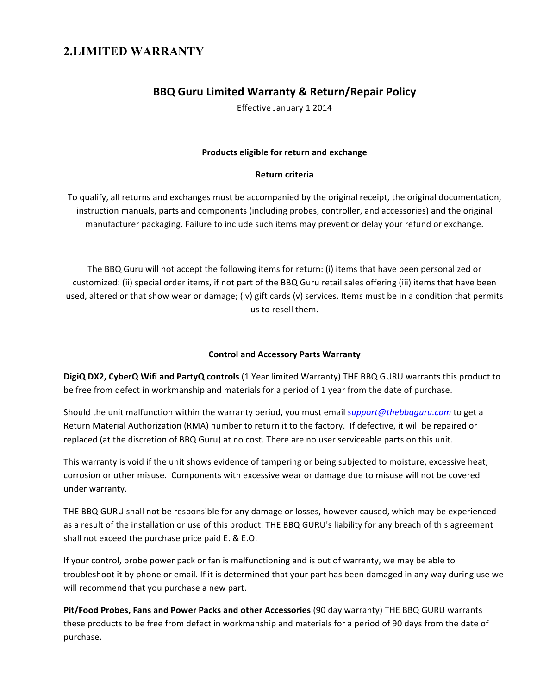## **2.LIMITED WARRANTY**

#### **BBQ Guru Limited Warranty & Return/Repair Policy**

Effective January 1 2014

#### **Products eligible for return and exchange**

#### **Return criteria**

To qualify, all returns and exchanges must be accompanied by the original receipt, the original documentation, instruction manuals, parts and components (including probes, controller, and accessories) and the original manufacturer packaging. Failure to include such items may prevent or delay your refund or exchange.

The BBQ Guru will not accept the following items for return: (i) items that have been personalized or customized: (ii) special order items, if not part of the BBQ Guru retail sales offering (iii) items that have been used, altered or that show wear or damage; (iv) gift cards (v) services. Items must be in a condition that permits us to resell them.

#### **Control and Accessory Parts Warranty**

**DigiQ DX2, CyberQ Wifi and PartyQ controls** (1 Year limited Warranty) THE BBQ GURU warrants this product to be free from defect in workmanship and materials for a period of 1 year from the date of purchase.

Should the unit malfunction within the warranty period, you must email *support@thebbqguru.com* to get a Return Material Authorization (RMA) number to return it to the factory. If defective, it will be repaired or replaced (at the discretion of BBQ Guru) at no cost. There are no user serviceable parts on this unit.

This warranty is void if the unit shows evidence of tampering or being subjected to moisture, excessive heat, corrosion or other misuse. Components with excessive wear or damage due to misuse will not be covered under warranty.

THE BBQ GURU shall not be responsible for any damage or losses, however caused, which may be experienced as a result of the installation or use of this product. THE BBQ GURU's liability for any breach of this agreement shall not exceed the purchase price paid E. & E.O.

If your control, probe power pack or fan is malfunctioning and is out of warranty, we may be able to troubleshoot it by phone or email. If it is determined that your part has been damaged in any way during use we will recommend that you purchase a new part.

Pit/Food Probes, Fans and Power Packs and other Accessories (90 day warranty) THE BBQ GURU warrants these products to be free from defect in workmanship and materials for a period of 90 days from the date of purchase.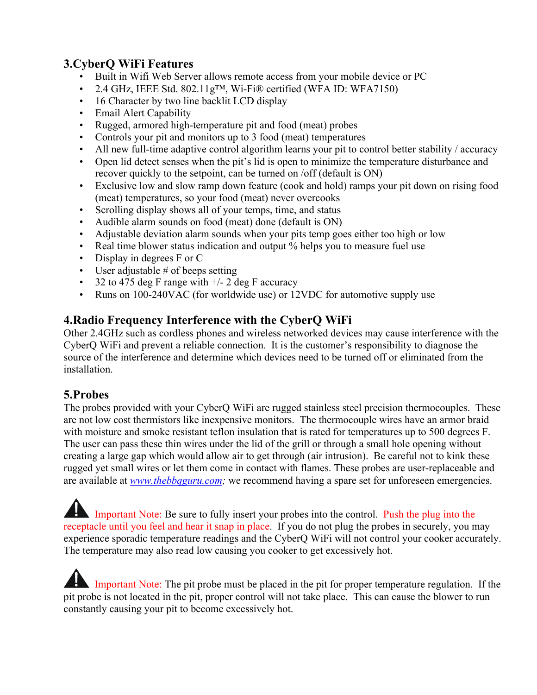## **3.CyberQ WiFi Features**

- Built in Wifi Web Server allows remote access from your mobile device or PC
- 2.4 GHz, IEEE Std. 802.11g™, Wi-Fi® certified (WFA ID: WFA7150)
- 16 Character by two line backlit LCD display
- Email Alert Capability
- Rugged, armored high-temperature pit and food (meat) probes
- Controls your pit and monitors up to 3 food (meat) temperatures
- All new full-time adaptive control algorithm learns your pit to control better stability / accuracy
- Open lid detect senses when the pit's lid is open to minimize the temperature disturbance and recover quickly to the setpoint, can be turned on /off (default is ON)
- Exclusive low and slow ramp down feature (cook and hold) ramps your pit down on rising food (meat) temperatures, so your food (meat) never overcooks
- Scrolling display shows all of your temps, time, and status
- Audible alarm sounds on food (meat) done (default is ON)
- Adjustable deviation alarm sounds when your pits temp goes either too high or low
- Real time blower status indication and output % helps you to measure fuel use
- Display in degrees F or C
- User adjustable # of beeps setting
- 32 to 475 deg F range with  $+/- 2$  deg F accuracy
- Runs on 100-240VAC (for worldwide use) or 12VDC for automotive supply use

## **4.Radio Frequency Interference with the CyberQ WiFi**

Other 2.4GHz such as cordless phones and wireless networked devices may cause interference with the CyberQ WiFi and prevent a reliable connection. It is the customer's responsibility to diagnose the source of the interference and determine which devices need to be turned off or eliminated from the installation.

## **5.Probes**

The probes provided with your CyberQ WiFi are rugged stainless steel precision thermocouples. These are not low cost thermistors like inexpensive monitors. The thermocouple wires have an armor braid with moisture and smoke resistant teflon insulation that is rated for temperatures up to 500 degrees F. The user can pass these thin wires under the lid of the grill or through a small hole opening without creating a large gap which would allow air to get through (air intrusion). Be careful not to kink these rugged yet small wires or let them come in contact with flames. These probes are user-replaceable and are available at *www.thebbqguru.com;* we recommend having a spare set for unforeseen emergencies.

Important Note: Be sure to fully insert your probes into the control. Push the plug into the receptacle until you feel and hear it snap in place. If you do not plug the probes in securely, you may experience sporadic temperature readings and the CyberQ WiFi will not control your cooker accurately. The temperature may also read low causing you cooker to get excessively hot.

 Important Note: The pit probe must be placed in the pit for proper temperature regulation. If the pit probe is not located in the pit, proper control will not take place. This can cause the blower to run constantly causing your pit to become excessively hot.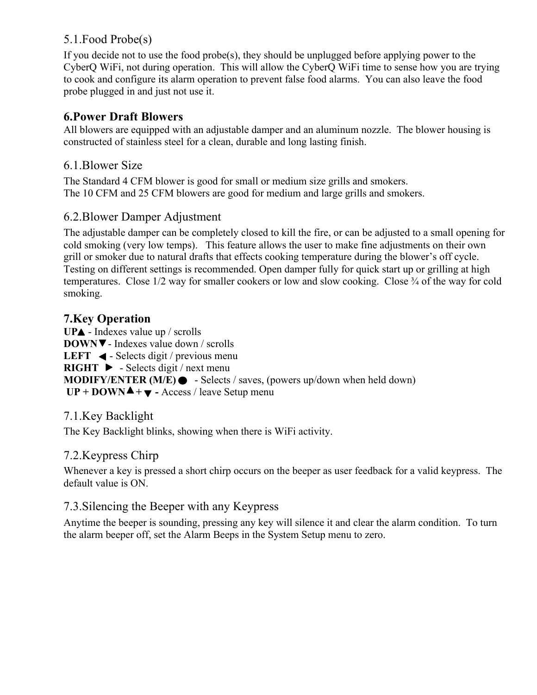## 5.1.Food Probe(s)

If you decide not to use the food probe(s), they should be unplugged before applying power to the CyberQ WiFi, not during operation. This will allow the CyberQ WiFi time to sense how you are trying to cook and configure its alarm operation to prevent false food alarms. You can also leave the food probe plugged in and just not use it.

#### **6.Power Draft Blowers**

All blowers are equipped with an adjustable damper and an aluminum nozzle. The blower housing is constructed of stainless steel for a clean, durable and long lasting finish.

#### 6.1.Blower Size

The Standard 4 CFM blower is good for small or medium size grills and smokers. The 10 CFM and 25 CFM blowers are good for medium and large grills and smokers.

#### 6.2.Blower Damper Adjustment

The adjustable damper can be completely closed to kill the fire, or can be adjusted to a small opening for cold smoking (very low temps). This feature allows the user to make fine adjustments on their own grill or smoker due to natural drafts that effects cooking temperature during the blower's off cycle. Testing on different settings is recommended. Open damper fully for quick start up or grilling at high temperatures. Close 1/2 way for smaller cookers or low and slow cooking. Close ¾ of the way for cold smoking.

#### **7.Key Operation**

UPA - Indexes value up / scrolls **DOWN** - Indexes value down / scrolls **LEFT**  $\triangleleft$  - Selects digit / previous menu **RIGHT**  $\triangleright$  - Selects digit / next menu **MODIFY/ENTER (M/E) ●** - Selects / saves, (powers up/down when held down) **UP + DOWN ▲ +**  $\blacktriangledown$  **- Access / leave Setup menu** 

#### 7.1.Key Backlight

The Key Backlight blinks, showing when there is WiFi activity.

#### 7.2.Keypress Chirp

Whenever a key is pressed a short chirp occurs on the beeper as user feedback for a valid keypress. The default value is ON.

#### 7.3.Silencing the Beeper with any Keypress

Anytime the beeper is sounding, pressing any key will silence it and clear the alarm condition. To turn the alarm beeper off, set the Alarm Beeps in the System Setup menu to zero.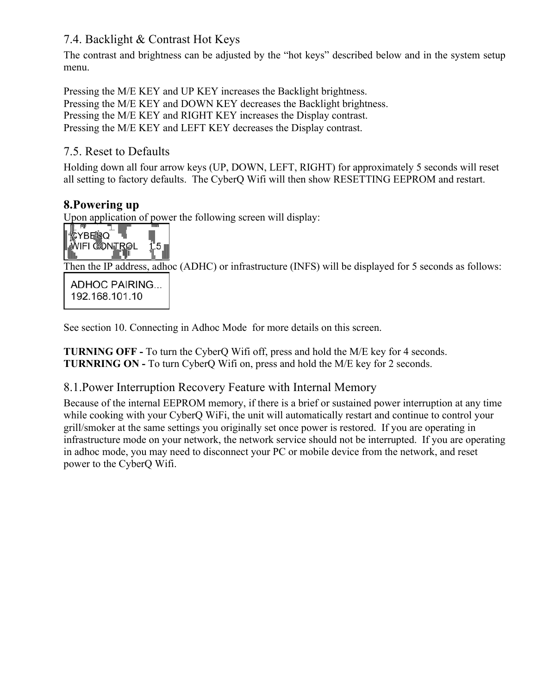## 7.4. Backlight & Contrast Hot Keys

The contrast and brightness can be adjusted by the "hot keys" described below and in the system setup menu.

Pressing the M/E KEY and UP KEY increases the Backlight brightness. Pressing the M/E KEY and DOWN KEY decreases the Backlight brightness. Pressing the M/E KEY and RIGHT KEY increases the Display contrast. Pressing the M/E KEY and LEFT KEY decreases the Display contrast.

## 7.5. Reset to Defaults

Holding down all four arrow keys (UP, DOWN, LEFT, RIGHT) for approximately 5 seconds will reset all setting to factory defaults. The CyberQ Wifi will then show RESETTING EEPROM and restart.

## **8.Powering up**

Upon application of power the following screen will display:



Then the IP address, adhoc (ADHC) or infrastructure (INFS) will be displayed for 5 seconds as follows:

**ADHOC PAIRING...** 192.168.101.10

See section 10. Connecting in Adhoc Mode for more details on this screen.

**TURNING OFF -** To turn the CyberQ Wifi off, press and hold the M/E key for 4 seconds. **TURNRING ON -** To turn CyberQ Wifi on, press and hold the M/E key for 2 seconds.

## 8.1.Power Interruption Recovery Feature with Internal Memory

Because of the internal EEPROM memory, if there is a brief or sustained power interruption at any time while cooking with your CyberO WiFi, the unit will automatically restart and continue to control your grill/smoker at the same settings you originally set once power is restored. If you are operating in infrastructure mode on your network, the network service should not be interrupted. If you are operating in adhoc mode, you may need to disconnect your PC or mobile device from the network, and reset power to the CyberQ Wifi.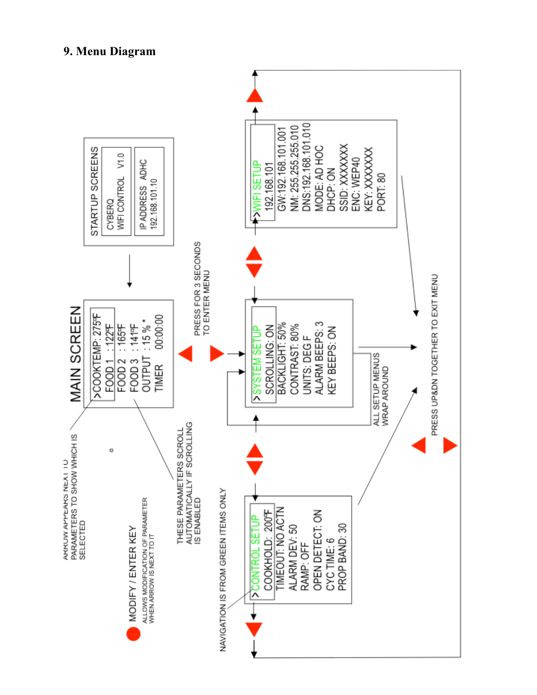

#### **9. Menu Diagram**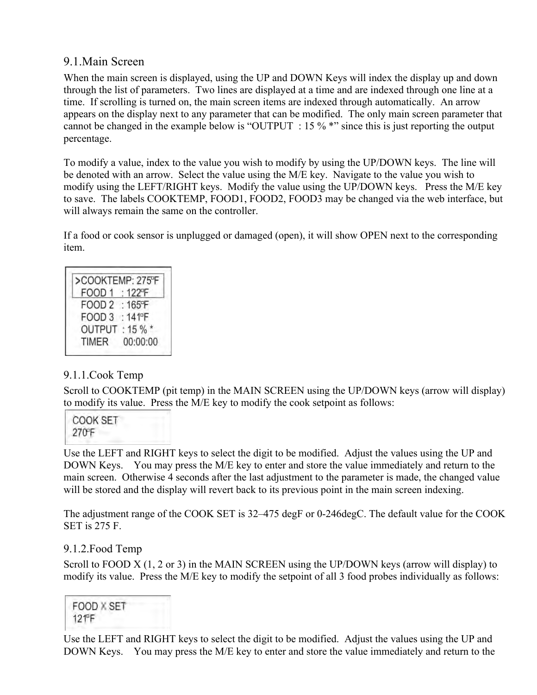## 9.1.Main Screen

When the main screen is displayed, using the UP and DOWN Keys will index the display up and down through the list of parameters. Two lines are displayed at a time and are indexed through one line at a time. If scrolling is turned on, the main screen items are indexed through automatically. An arrow appears on the display next to any parameter that can be modified. The only main screen parameter that cannot be changed in the example below is "OUTPUT : 15 % \*" since this is just reporting the output percentage.

To modify a value, index to the value you wish to modify by using the UP/DOWN keys. The line will be denoted with an arrow. Select the value using the M/E key. Navigate to the value you wish to modify using the LEFT/RIGHT keys. Modify the value using the UP/DOWN keys. Press the M/E key to save. The labels COOKTEMP, FOOD1, FOOD2, FOOD3 may be changed via the web interface, but will always remain the same on the controller.

If a food or cook sensor is unplugged or damaged (open), it will show OPEN next to the corresponding item.

| >COOKTEMP: 275°F       |
|------------------------|
| $:122$ <sup>F</sup>    |
| FOOD 2 : 165°F         |
| : $141$ <sup>p</sup> F |
| OUTPUT: 15 % *         |
| 00:00:00               |
|                        |

#### 9.1.1.Cook Temp

Scroll to COOKTEMP (pit temp) in the MAIN SCREEN using the UP/DOWN keys (arrow will display) to modify its value. Press the M/E key to modify the cook setpoint as follows:

Use the LEFT and RIGHT keys to select the digit to be modified. Adjust the values using the UP and DOWN Keys. You may press the M/E key to enter and store the value immediately and return to the main screen. Otherwise 4 seconds after the last adjustment to the parameter is made, the changed value will be stored and the display will revert back to its previous point in the main screen indexing.

The adjustment range of the COOK SET is 32–475 degF or 0-246degC. The default value for the COOK SET is 275 F.

#### 9.1.2.Food Temp

Scroll to FOOD X (1, 2 or 3) in the MAIN SCREEN using the UP/DOWN keys (arrow will display) to modify its value. Press the M/E key to modify the setpoint of all 3 food probes individually as follows:



Use the LEFT and RIGHT keys to select the digit to be modified. Adjust the values using the UP and DOWN Keys. You may press the M/E key to enter and store the value immediately and return to the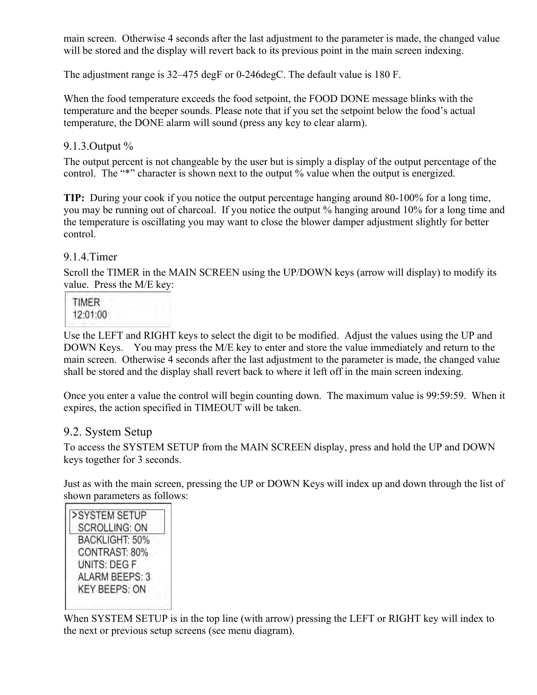main screen. Otherwise 4 seconds after the last adjustment to the parameter is made, the changed value will be stored and the display will revert back to its previous point in the main screen indexing.

The adjustment range is 32–475 degF or 0-246degC. The default value is 180 F.

When the food temperature exceeds the food setpoint, the FOOD DONE message blinks with the temperature and the beeper sounds. Please note that if you set the setpoint below the food's actual temperature, the DONE alarm will sound (press any key to clear alarm).

#### 9.1.3.Output %

The output percent is not changeable by the user but is simply a display of the output percentage of the control. The "\*" character is shown next to the output % value when the output is energized.

**TIP:** During your cook if you notice the output percentage hanging around 80-100% for a long time, you may be running out of charcoal. If you notice the output % hanging around 10% for a long time and the temperature is oscillating you may want to close the blower damper adjustment slightly for better control.

#### 9.1.4.Timer

Scroll the TIMER in the MAIN SCREEN using the UP/DOWN keys (arrow will display) to modify its value. Press the M/E key:



Use the LEFT and RIGHT keys to select the digit to be modified. Adjust the values using the UP and DOWN Keys. You may press the M/E key to enter and store the value immediately and return to the main screen. Otherwise 4 seconds after the last adjustment to the parameter is made, the changed value shall be stored and the display shall revert back to where it left off in the main screen indexing.

Once you enter a value the control will begin counting down. The maximum value is 99:59:59. When it expires, the action specified in TIMEOUT will be taken.

#### 9.2. System Setup

To access the SYSTEM SETUP from the MAIN SCREEN display, press and hold the UP and DOWN keys together for 3 seconds.

Just as with the main screen, pressing the UP or DOWN Keys will index up and down through the list of shown parameters as follows:



When SYSTEM SETUP is in the top line (with arrow) pressing the LEFT or RIGHT key will index to the next or previous setup screens (see menu diagram).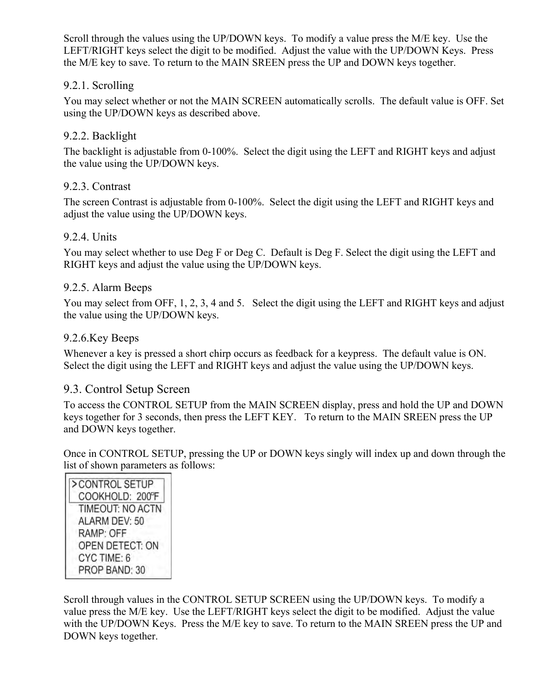Scroll through the values using the UP/DOWN keys. To modify a value press the M/E key. Use the LEFT/RIGHT keys select the digit to be modified. Adjust the value with the UP/DOWN Keys. Press the M/E key to save. To return to the MAIN SREEN press the UP and DOWN keys together.

#### 9.2.1. Scrolling

You may select whether or not the MAIN SCREEN automatically scrolls. The default value is OFF. Set using the UP/DOWN keys as described above.

#### 9.2.2. Backlight

The backlight is adjustable from 0-100%. Select the digit using the LEFT and RIGHT keys and adjust the value using the UP/DOWN keys.

#### 9.2.3. Contrast

The screen Contrast is adjustable from 0-100%. Select the digit using the LEFT and RIGHT keys and adjust the value using the UP/DOWN keys.

#### 9.2.4. Units

You may select whether to use Deg F or Deg C. Default is Deg F. Select the digit using the LEFT and RIGHT keys and adjust the value using the UP/DOWN keys.

#### 9.2.5. Alarm Beeps

You may select from OFF, 1, 2, 3, 4 and 5. Select the digit using the LEFT and RIGHT keys and adjust the value using the UP/DOWN keys.

#### 9.2.6.Key Beeps

Whenever a key is pressed a short chirp occurs as feedback for a keypress. The default value is ON. Select the digit using the LEFT and RIGHT keys and adjust the value using the UP/DOWN keys.

#### 9.3. Control Setup Screen

To access the CONTROL SETUP from the MAIN SCREEN display, press and hold the UP and DOWN keys together for 3 seconds, then press the LEFT KEY. To return to the MAIN SREEN press the UP and DOWN keys together.

Once in CONTROL SETUP, pressing the UP or DOWN keys singly will index up and down through the list of shown parameters as follows:

>CONTROL SETUP COOKHOLD: 200°F TIMEOUT: NO ACTN ALARM DEV: 50 RAMP: OFF OPEN DETECT: ON CYC TIME: 6 PROP BAND: 30

Scroll through values in the CONTROL SETUP SCREEN using the UP/DOWN keys. To modify a value press the M/E key. Use the LEFT/RIGHT keys select the digit to be modified. Adjust the value with the UP/DOWN Keys. Press the M/E key to save. To return to the MAIN SREEN press the UP and DOWN keys together.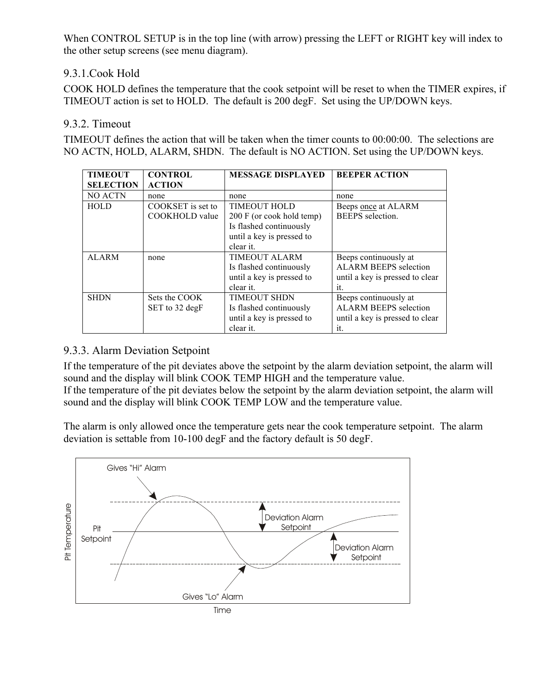When CONTROL SETUP is in the top line (with arrow) pressing the LEFT or RIGHT key will index to the other setup screens (see menu diagram).

#### 9.3.1.Cook Hold

COOK HOLD defines the temperature that the cook setpoint will be reset to when the TIMER expires, if TIMEOUT action is set to HOLD. The default is 200 degF. Set using the UP/DOWN keys.

#### 9.3.2. Timeout

TIMEOUT defines the action that will be taken when the timer counts to 00:00:00. The selections are NO ACTN, HOLD, ALARM, SHDN. The default is NO ACTION. Set using the UP/DOWN keys.

| <b>TIMEOUT</b>   | <b>CONTROL</b>    | <b>MESSAGE DISPLAYED</b>  | <b>BEEPER ACTION</b>            |
|------------------|-------------------|---------------------------|---------------------------------|
| <b>SELECTION</b> | <b>ACTION</b>     |                           |                                 |
| <b>NO ACTN</b>   | none              | none                      | none                            |
| <b>HOLD</b>      | COOKSET is set to | <b>TIMEOUT HOLD</b>       | Beeps once at ALARM             |
|                  | COOKHOLD value    | 200 F (or cook hold temp) | <b>BEEPS</b> selection.         |
|                  |                   | Is flashed continuously   |                                 |
|                  |                   | until a key is pressed to |                                 |
|                  |                   | clear it.                 |                                 |
| <b>ALARM</b>     | none              | <b>TIMEOUT ALARM</b>      | Beeps continuously at           |
|                  |                   | Is flashed continuously   | ALARM BEEPS selection           |
|                  |                   | until a key is pressed to | until a key is pressed to clear |
|                  |                   | clear it.                 | it                              |
| <b>SHDN</b>      | Sets the COOK     | <b>TIMEOUT SHDN</b>       | Beeps continuously at           |
|                  | SET to 32 degF    | Is flashed continuously   | <b>ALARM BEEPS</b> selection    |
|                  |                   | until a key is pressed to | until a key is pressed to clear |
|                  |                   | clear it.                 | it.                             |

#### 9.3.3. Alarm Deviation Setpoint

If the temperature of the pit deviates above the setpoint by the alarm deviation setpoint, the alarm will sound and the display will blink COOK TEMP HIGH and the temperature value.

If the temperature of the pit deviates below the setpoint by the alarm deviation setpoint, the alarm will sound and the display will blink COOK TEMP LOW and the temperature value.

The alarm is only allowed once the temperature gets near the cook temperature setpoint. The alarm deviation is settable from 10-100 degF and the factory default is 50 degF.

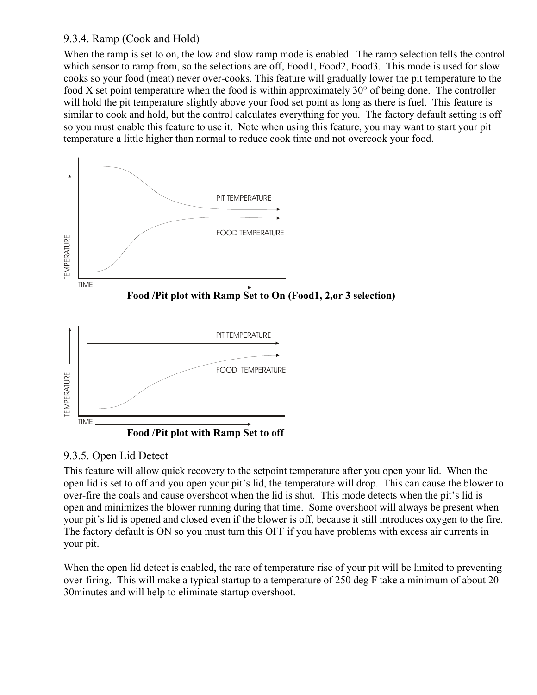#### 9.3.4. Ramp (Cook and Hold)

When the ramp is set to on, the low and slow ramp mode is enabled. The ramp selection tells the control which sensor to ramp from, so the selections are off, Food1, Food2, Food3. This mode is used for slow cooks so your food (meat) never over-cooks. This feature will gradually lower the pit temperature to the food X set point temperature when the food is within approximately 30° of being done. The controller will hold the pit temperature slightly above your food set point as long as there is fuel. This feature is similar to cook and hold, but the control calculates everything for you. The factory default setting is off so you must enable this feature to use it. Note when using this feature, you may want to start your pit temperature a little higher than normal to reduce cook time and not overcook your food.



#### 9.3.5. Open Lid Detect

This feature will allow quick recovery to the setpoint temperature after you open your lid. When the open lid is set to off and you open your pit's lid, the temperature will drop. This can cause the blower to over-fire the coals and cause overshoot when the lid is shut. This mode detects when the pit's lid is open and minimizes the blower running during that time. Some overshoot will always be present when your pit's lid is opened and closed even if the blower is off, because it still introduces oxygen to the fire. The factory default is ON so you must turn this OFF if you have problems with excess air currents in your pit.

When the open lid detect is enabled, the rate of temperature rise of your pit will be limited to preventing over-firing. This will make a typical startup to a temperature of 250 deg F take a minimum of about 20- 30minutes and will help to eliminate startup overshoot.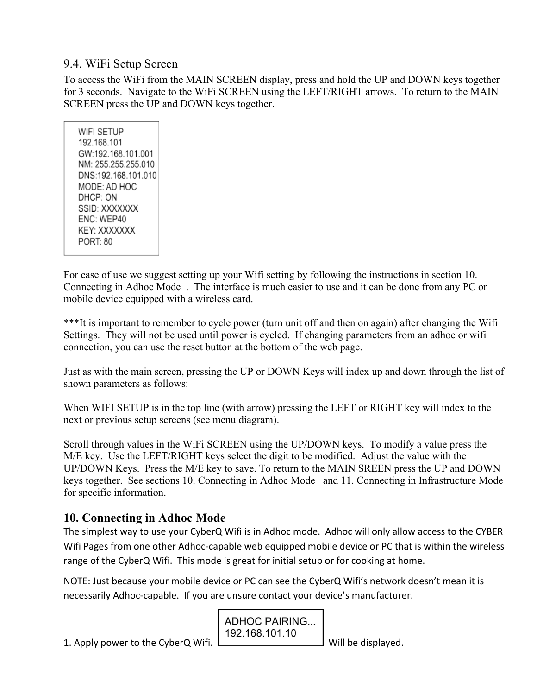## 9.4. WiFi Setup Screen

To access the WiFi from the MAIN SCREEN display, press and hold the UP and DOWN keys together for 3 seconds. Navigate to the WiFi SCREEN using the LEFT/RIGHT arrows. To return to the MAIN SCREEN press the UP and DOWN keys together.

WIFI SETUP 192.168.101 GW:192.168.101.001 NM: 255.255.255.010 DNS:192.168.101.010 MODE: AD HOC DHCP: ON SSID: XXXXXXX ENC: WEP40 KEY: XXXXXXX PORT: 80

For ease of use we suggest setting up your Wifi setting by following the instructions in section 10. Connecting in Adhoc Mode . The interface is much easier to use and it can be done from any PC or mobile device equipped with a wireless card.

\*\*\*It is important to remember to cycle power (turn unit off and then on again) after changing the Wifi Settings. They will not be used until power is cycled. If changing parameters from an adhoc or wifi connection, you can use the reset button at the bottom of the web page.

Just as with the main screen, pressing the UP or DOWN Keys will index up and down through the list of shown parameters as follows:

When WIFI SETUP is in the top line (with arrow) pressing the LEFT or RIGHT key will index to the next or previous setup screens (see menu diagram).

Scroll through values in the WiFi SCREEN using the UP/DOWN keys. To modify a value press the M/E key. Use the LEFT/RIGHT keys select the digit to be modified. Adjust the value with the UP/DOWN Keys. Press the M/E key to save. To return to the MAIN SREEN press the UP and DOWN keys together. See sections 10. Connecting in Adhoc Mode and 11. Connecting in Infrastructure Mode for specific information.

## **10. Connecting in Adhoc Mode**

The simplest way to use your CyberQ Wifi is in Adhoc mode. Adhoc will only allow access to the CYBER Wifi Pages from one other Adhoc-capable web equipped mobile device or PC that is within the wireless range of the CyberQ Wifi. This mode is great for initial setup or for cooking at home.

NOTE: Just because your mobile device or PC can see the CyberQ Wifi's network doesn't mean it is necessarily Adhoc-capable. If you are unsure contact your device's manufacturer.

> **ADHOC PAIRING...** 192.168.101.10

1. Apply power to the CyberQ Wifi.  $\Box$  Will be displayed.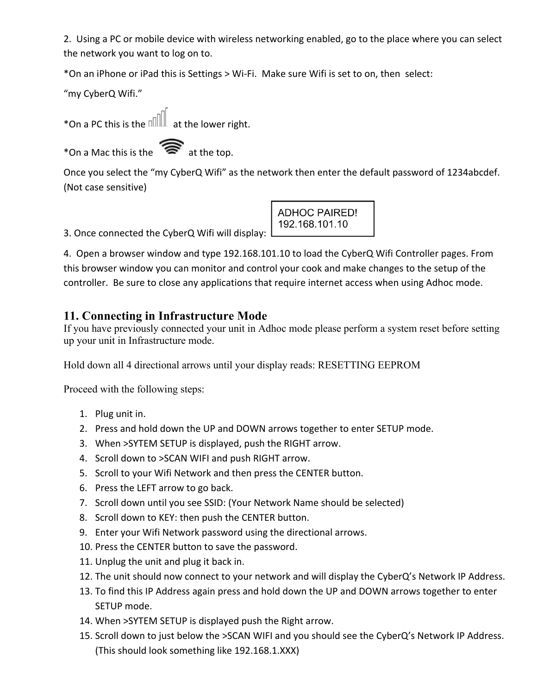2. Using a PC or mobile device with wireless networking enabled, go to the place where you can select the network you want to log on to.

\*On an iPhone or iPad this is Settings > Wi-Fi. Make sure Wifi is set to on, then select:

"my CyberQ Wifi."

\*On a PC this is the  $\text{null}$  at the lower right.

\*On a Mac this is the  $\widehat{\mathcal{R}}$  at the top.

Once you select the "my CyberQ Wifi" as the network then enter the default password of 1234abcdef. (Not case sensitive)

3. Once connected the CyberQ Wifi will display:

**ADHOC PAIRED!** 192.168.101.10

4. Open a browser window and type 192.168.101.10 to load the CyberQ Wifi Controller pages. From this browser window you can monitor and control your cook and make changes to the setup of the controller. Be sure to close any applications that require internet access when using Adhoc mode.

## **11. Connecting in Infrastructure Mode**

If you have previously connected your unit in Adhoc mode please perform a system reset before setting up your unit in Infrastructure mode.

Hold down all 4 directional arrows until your display reads: RESETTING EEPROM

Proceed with the following steps:

- 1. Plug unit in.
- 2. Press and hold down the UP and DOWN arrows together to enter SETUP mode.
- 3. When >SYTEM SETUP is displayed, push the RIGHT arrow.
- 4. Scroll down to >SCAN WIFI and push RIGHT arrow.
- 5. Scroll to your Wifi Network and then press the CENTER button.
- 6. Press the LEFT arrow to go back.
- 7. Scroll down until you see SSID: (Your Network Name should be selected)
- 8. Scroll down to KEY: then push the CENTER button.
- 9. Enter your Wifi Network password using the directional arrows.
- 10. Press the CENTER button to save the password.
- 11. Unplug the unit and plug it back in.
- 12. The unit should now connect to your network and will display the CyberQ's Network IP Address.
- 13. To find this IP Address again press and hold down the UP and DOWN arrows together to enter SETUP mode.
- 14. When >SYTEM SETUP is displayed push the Right arrow.
- 15. Scroll down to just below the >SCAN WIFI and you should see the CyberQ's Network IP Address. (This should look something like 192.168.1.XXX)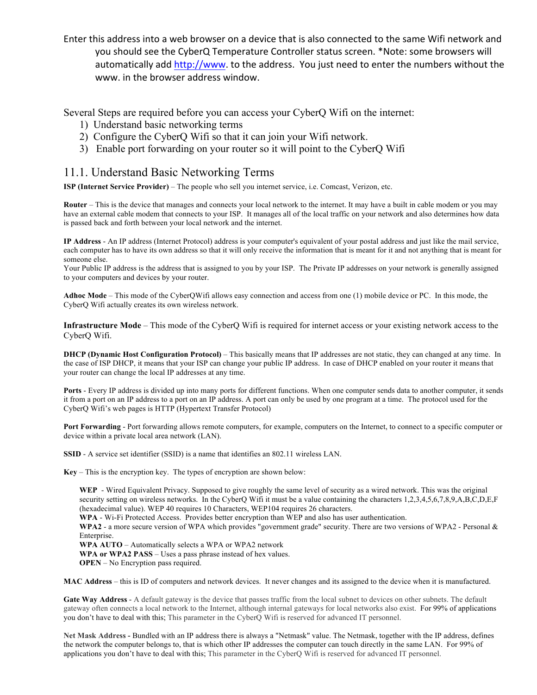Enter this address into a web browser on a device that is also connected to the same Wifi network and you should see the CyberQ Temperature Controller status screen. \*Note: some browsers will automatically add http://www. to the address. You just need to enter the numbers without the www. in the browser address window.

Several Steps are required before you can access your CyberQ Wifi on the internet:

- 1) Understand basic networking terms
- 2) Configure the CyberQ Wifi so that it can join your Wifi network.
- 3) Enable port forwarding on your router so it will point to the CyberQ Wifi

#### 11.1. Understand Basic Networking Terms

**ISP (Internet Service Provider)** – The people who sell you internet service, i.e. Comcast, Verizon, etc.

**Router** – This is the device that manages and connects your local network to the internet. It may have a built in cable modem or you may have an external cable modem that connects to your ISP. It manages all of the local traffic on your network and also determines how data is passed back and forth between your local network and the internet.

**IP Address** - An IP address (Internet Protocol) address is your computer's equivalent of your postal address and just like the mail service, each computer has to have its own address so that it will only receive the information that is meant for it and not anything that is meant for someone else.

Your Public IP address is the address that is assigned to you by your ISP. The Private IP addresses on your network is generally assigned to your computers and devices by your router.

**Adhoc Mode** – This mode of the CyberQWifi allows easy connection and access from one (1) mobile device or PC. In this mode, the CyberQ Wifi actually creates its own wireless network.

**Infrastructure Mode** – This mode of the CyberQ Wifi is required for internet access or your existing network access to the CyberQ Wifi.

**DHCP (Dynamic Host Configuration Protocol)** – This basically means that IP addresses are not static, they can changed at any time. In the case of ISP DHCP, it means that your ISP can change your public IP address. In case of DHCP enabled on your router it means that your router can change the local IP addresses at any time.

**Ports** - Every IP address is divided up into many ports for different functions. When one computer sends data to another computer, it sends it from a port on an IP address to a port on an IP address. A port can only be used by one program at a time. The protocol used for the CyberQ Wifi's web pages is HTTP (Hypertext Transfer Protocol)

**Port Forwarding** - Port forwarding allows remote computers, for example, computers on the Internet, to connect to a specific computer or device within a private local area network (LAN).

**SSID** - A service set identifier (SSID) is a name that identifies an 802.11 wireless LAN.

**Key** – This is the encryption key. The types of encryption are shown below:

**WEP** - Wired Equivalent Privacy. Supposed to give roughly the same level of security as a wired network. This was the original security setting on wireless networks. In the CyberQ Wifi it must be a value containing the characters 1,2,3,4,5,6,7,8,9,A,B,C,D,E,F (hexadecimal value). WEP 40 requires 10 Characters, WEP104 requires 26 characters.

**WPA** - Wi-Fi Protected Access. Provides better encryption than WEP and also has user authentication.

**WPA2** - a more secure version of WPA which provides "government grade" security. There are two versions of WPA2 - Personal & Enterprise.

**WPA AUTO** – Automatically selects a WPA or WPA2 network

**WPA or WPA2 PASS** – Uses a pass phrase instead of hex values.

**OPEN** – No Encryption pass required.

**MAC Address** – this is ID of computers and network devices. It never changes and its assigned to the device when it is manufactured.

**Gate Way Address** - A default gateway is the device that passes traffic from the local subnet to devices on other subnets. The default gateway often connects a local network to the Internet, although internal gateways for local networks also exist. For 99% of applications you don't have to deal with this; This parameter in the CyberQ Wifi is reserved for advanced IT personnel.

**Net Mask Address -** Bundled with an IP address there is always a "Netmask" value. The Netmask, together with the IP address, defines the network the computer belongs to, that is which other IP addresses the computer can touch directly in the same LAN. For 99% of applications you don't have to deal with this; This parameter in the CyberQ Wifi is reserved for advanced IT personnel.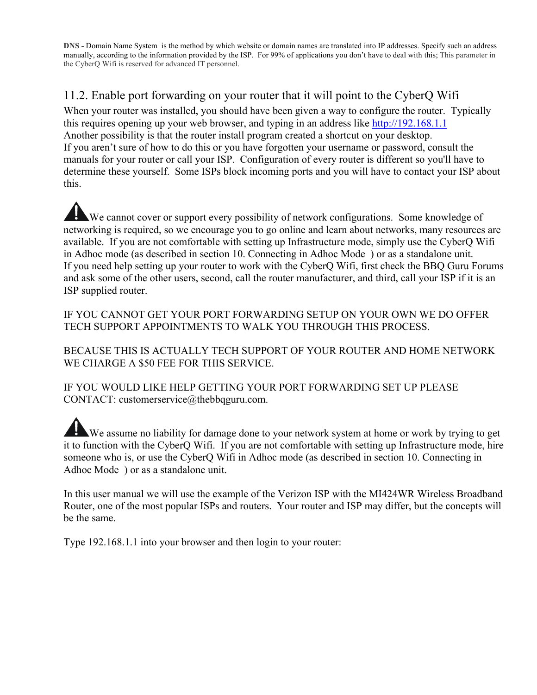**DNS -** Domain Name System is the method by which website or domain names are translated into IP addresses. Specify such an address manually, according to the information provided by the ISP. For 99% of applications you don't have to deal with this; This parameter in the CyberQ Wifi is reserved for advanced IT personnel.

## 11.2. Enable port forwarding on your router that it will point to the CyberQ Wifi

When your router was installed, you should have been given a way to configure the router. Typically this requires opening up your web browser, and typing in an address like http://192.168.1.1 Another possibility is that the router install program created a shortcut on your desktop. If you aren't sure of how to do this or you have forgotten your username or password, consult the manuals for your router or call your ISP. Configuration of every router is different so you'll have to determine these yourself. Some ISPs block incoming ports and you will have to contact your ISP about this.

We cannot cover or support every possibility of network configurations. Some knowledge of networking is required, so we encourage you to go online and learn about networks, many resources are available. If you are not comfortable with setting up Infrastructure mode, simply use the CyberQ Wifi in Adhoc mode (as described in section 10. Connecting in Adhoc Mode ) or as a standalone unit. If you need help setting up your router to work with the CyberQ Wifi, first check the BBQ Guru Forums and ask some of the other users, second, call the router manufacturer, and third, call your ISP if it is an ISP supplied router.

IF YOU CANNOT GET YOUR PORT FORWARDING SETUP ON YOUR OWN WE DO OFFER TECH SUPPORT APPOINTMENTS TO WALK YOU THROUGH THIS PROCESS.

BECAUSE THIS IS ACTUALLY TECH SUPPORT OF YOUR ROUTER AND HOME NETWORK WE CHARGE A \$50 FEE FOR THIS SERVICE.

IF YOU WOULD LIKE HELP GETTING YOUR PORT FORWARDING SET UP PLEASE CONTACT: customerservice@thebbqguru.com.

We assume no liability for damage done to your network system at home or work by trying to get it to function with the CyberQ Wifi. If you are not comfortable with setting up Infrastructure mode, hire someone who is, or use the CyberQ Wifi in Adhoc mode (as described in section 10. Connecting in Adhoc Mode ) or as a standalone unit.

In this user manual we will use the example of the Verizon ISP with the MI424WR Wireless Broadband Router, one of the most popular ISPs and routers. Your router and ISP may differ, but the concepts will be the same.

Type 192.168.1.1 into your browser and then login to your router: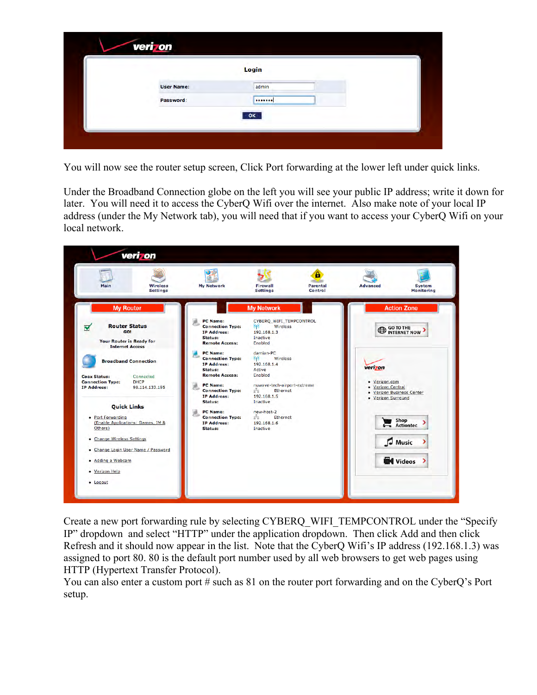|                   | Login |  |
|-------------------|-------|--|
| <b>User Name:</b> | admin |  |
| Password:         |       |  |
|                   | OK    |  |

You will now see the router setup screen, Click Port forwarding at the lower left under quick links.

Under the Broadband Connection globe on the left you will see your public IP address; write it down for later. You will need it to access the CyberQ Wifi over the internet. Also make note of your local IP address (under the My Network tab), you will need that if you want to access your CyberQ Wifi on your local network.



Create a new port forwarding rule by selecting CYBERQ\_WIFI\_TEMPCONTROL under the "Specify IP" dropdown and select "HTTP" under the application dropdown. Then click Add and then click Refresh and it should now appear in the list. Note that the CyberQ Wifi's IP address (192.168.1.3) was assigned to port 80. 80 is the default port number used by all web browsers to get web pages using HTTP (Hypertext Transfer Protocol).

You can also enter a custom port # such as 81 on the router port forwarding and on the CyberQ's Port setup.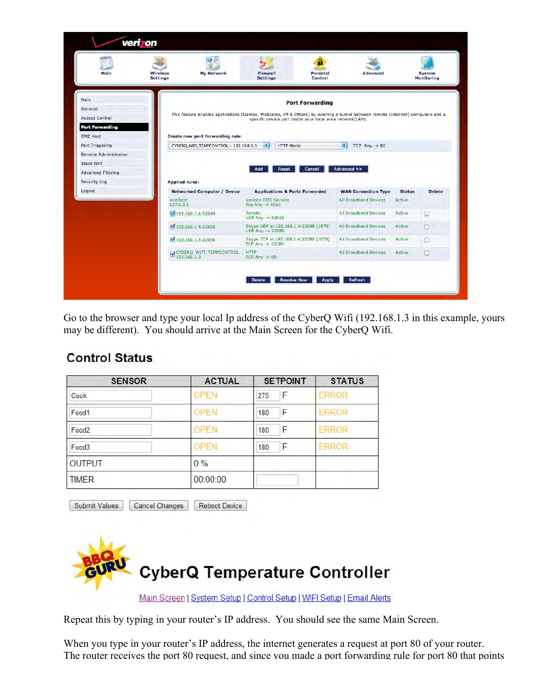| Main                                                                                  | veri on<br><b>Wireless</b><br><b>My Network</b><br><b>Settings</b> | н<br><b>Firewall</b><br>Parental<br><b>Settings</b><br><b>Control</b>                                                                                                                                                | <b>Advanced</b>              | <b>System</b><br><b>Monitoring</b> |
|---------------------------------------------------------------------------------------|--------------------------------------------------------------------|----------------------------------------------------------------------------------------------------------------------------------------------------------------------------------------------------------------------|------------------------------|------------------------------------|
| Main<br>General<br><b>Access Control</b><br><b>Port Forwarding</b><br><b>DMZ Host</b> | Create new port forwarding rule:                                   | <b>Port Forwarding</b><br>This feature enables applications (Games, Webcams, IM & Others) by opening a tunnel between remote (Internet) computers and a<br>specific device port inside your local area network(LAN). |                              |                                    |
| <b>Port Triggering</b>                                                                | CYBERQ WIFI TEMPCONTROL - 192.168.1.3                              | ٠÷<br>HTTP (Web)                                                                                                                                                                                                     | F<br>$TCP$ Any $-> 80$       |                                    |
| <b>Remote Administration</b>                                                          |                                                                    |                                                                                                                                                                                                                      |                              |                                    |
| <b>Static NAT</b>                                                                     |                                                                    |                                                                                                                                                                                                                      |                              |                                    |
| <b>Advanced Filtering</b>                                                             |                                                                    | Add<br>Cancel<br><b>Reset</b>                                                                                                                                                                                        | Advanced >>                  |                                    |
|                                                                                       | <b>Applied rules:</b>                                              |                                                                                                                                                                                                                      |                              |                                    |
|                                                                                       | <b>Networked Computer / Device</b>                                 | <b>Applications &amp; Ports Forwarded</b>                                                                                                                                                                            | <b>WAN Connection Type</b>   | <b>Delete</b><br><b>Status</b>     |
|                                                                                       | localhost<br>127,0,0,1                                             | Verizon FiOS Service<br>Tcp Any $-$ 4567                                                                                                                                                                             | <b>All Broadband Devices</b> | Active                             |
|                                                                                       | ₩ 192.168.1.4:52049                                                | Teredo<br>UDP Any $\rightarrow$ 52049                                                                                                                                                                                | <b>All Broadband Devices</b> | Active<br>$\Box$                   |
|                                                                                       | 192.168.1.4;22088                                                  | Skype UDP at 192.168.1.4:22088 (1679)<br>UDP Any -> 22088                                                                                                                                                            | <b>All Broadband Devices</b> | Active<br>$\Box$                   |
|                                                                                       | 192.168.1.4:22088                                                  | Skype TCP at 192.168.1.4:22088 (1679)<br><b>TCP Any -&gt; 22088</b>                                                                                                                                                  | All Broadband Devices        | Active<br>EJ.                      |
| <b>Security Log</b><br>Logout                                                         | CYBERQ_WIFI_TEMPCONTROL                                            | <b>HTTP</b><br>$TCP Any \rightarrow 80$                                                                                                                                                                              | <b>All Broadband Devices</b> | Active<br>U                        |

Go to the browser and type your local Ip address of the CyberQ Wifi (192.168.1.3 in this example, yours may be different). You should arrive at the Main Screen for the CyberQ Wifi.

| <b>SENSOR</b>     | <b>ACTUAL</b> | <b>SETPOINT</b> | <b>STATUS</b> |
|-------------------|---------------|-----------------|---------------|
| Cook              | <b>OPEN</b>   | F<br>275        | <b>ERROR</b>  |
| Food1             | OPEN          | F<br>180        | <b>ERROR</b>  |
| Food <sub>2</sub> | <b>OPEN</b>   | F<br>180        | <b>ERROR</b>  |
| Food3             | OPEN          | F<br>180        | <b>ERROR</b>  |
| <b>OUTPUT</b>     | $0\%$         |                 |               |
| <b>TIMER</b>      | 00:00:00      |                 |               |

## **Control Status**

Submit Values Cancel Changes Reboot Device



Main Screen | System Setup | Control Setup | WIFI Setup | Email Alerts

Repeat this by typing in your router's IP address. You should see the same Main Screen.

When you type in your router's IP address, the internet generates a request at port 80 of your router. The router receives the port 80 request, and since you made a port forwarding rule for port 80 that points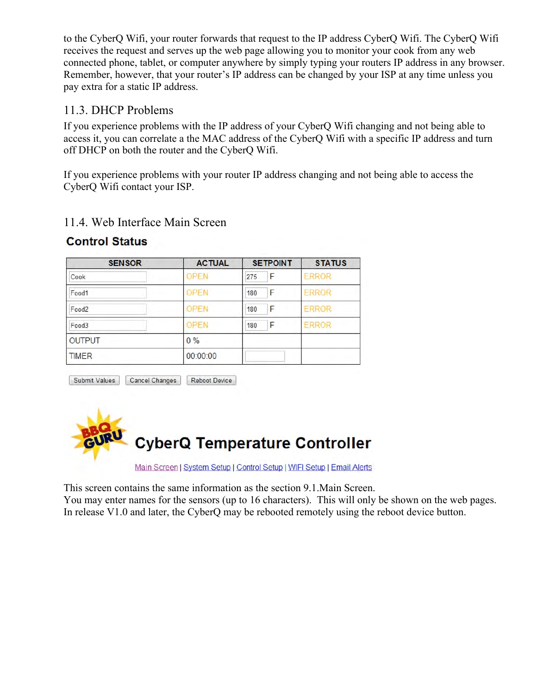to the CyberQ Wifi, your router forwards that request to the IP address CyberQ Wifi. The CyberQ Wifi receives the request and serves up the web page allowing you to monitor your cook from any web connected phone, tablet, or computer anywhere by simply typing your routers IP address in any browser. Remember, however, that your router's IP address can be changed by your ISP at any time unless you pay extra for a static IP address.

## 11.3. DHCP Problems

If you experience problems with the IP address of your CyberQ Wifi changing and not being able to access it, you can correlate a the MAC address of the CyberQ Wifi with a specific IP address and turn off DHCP on both the router and the CyberQ Wifi.

If you experience problems with your router IP address changing and not being able to access the CyberQ Wifi contact your ISP.

#### **ACTUAL SETPOINT SENSOR STATUS** Cook **OPEN** 275 F **ERROR** OPEN F **ERROR** Food1 180 **ERROR** OPEN F Food<sub>2</sub> 180 F ERROR **OPEN** Food3 180 **OUTPUT**  $0\%$ **TIMER** 00:00:00

## 11.4. Web Interface Main Screen **Control Status**

Submit Values Reboot Device Cancel Changes



Main Screen | System Setup | Control Setup | WIFI Setup | Email Alerts

This screen contains the same information as the section 9.1.Main Screen.

You may enter names for the sensors (up to 16 characters). This will only be shown on the web pages. In release V1.0 and later, the CyberQ may be rebooted remotely using the reboot device button.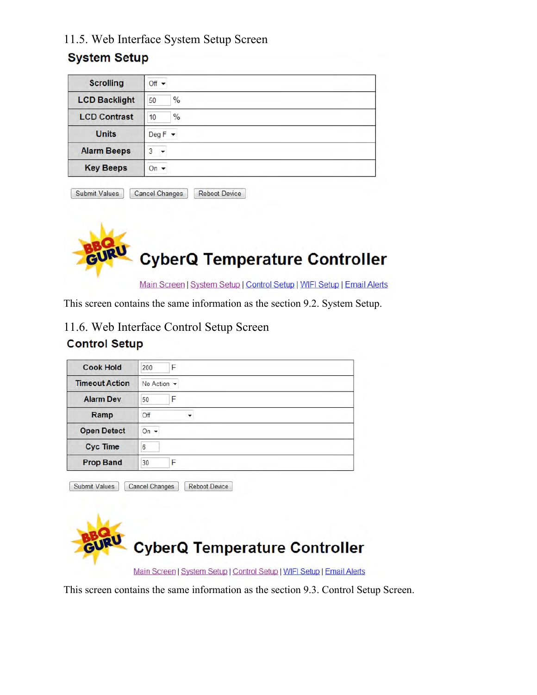## 11.5. Web Interface System Setup Screen

## **System Setup**

| <b>Scrolling</b>     | $Off -$             |
|----------------------|---------------------|
| <b>LCD Backlight</b> | $\%$<br>50          |
| <b>LCD Contrast</b>  | $\frac{0}{0}$<br>10 |
| <b>Units</b>         | $DegF -$            |
| <b>Alarm Beeps</b>   | ٩                   |
| <b>Key Beeps</b>     | On                  |

|  | Submit Values | <b>Cancel Changes</b> | Reboot Device |
|--|---------------|-----------------------|---------------|
|--|---------------|-----------------------|---------------|



Main Screen | System Setup | Control Setup | WIFI Setup | Email Alerts

This screen contains the same information as the section 9.2. System Setup.

11.6. Web Interface Control Setup Screen

#### **Control Setup**

| <b>Cook Hold</b>      | F<br>200                       |  |
|-----------------------|--------------------------------|--|
| <b>Timeout Action</b> | No Action $\blacktriangledown$ |  |
| <b>Alarm Dev</b>      | F<br>50                        |  |
| Ramp                  | Off<br>▼                       |  |
| <b>Open Detect</b>    | On $\sim$                      |  |
| <b>Cyc Time</b>       | 6                              |  |
| <b>Prop Band</b>      | F<br>30                        |  |

**CyberQ Temperature Controller** 

Main Screen | System Setup | Control Setup | WIFI Setup | Email Alerts

This screen contains the same information as the section 9.3. Control Setup Screen.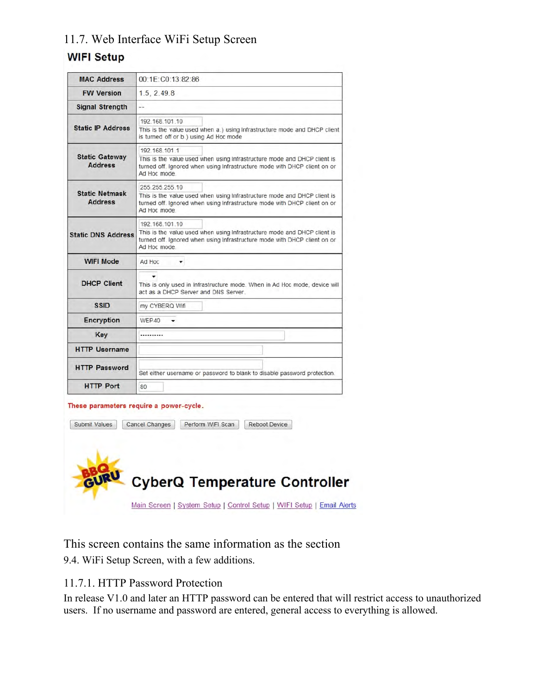## 11.7. Web Interface WiFi Setup Screen

# **WIFI Setup**

| <b>MAC Address</b>                      | 00:1E:C0:13:82:86                                                                                                                                                                       |  |
|-----------------------------------------|-----------------------------------------------------------------------------------------------------------------------------------------------------------------------------------------|--|
| <b>FW Version</b>                       | 1.5.2.49.8                                                                                                                                                                              |  |
| <b>Signal Strength</b>                  | --                                                                                                                                                                                      |  |
| <b>Static IP Address</b>                | 192 168 101 10<br>This is the value used when a.) using infrastructure mode and DHCP client<br>is turned off or b.) using Ad Hoc mode                                                   |  |
| <b>Static Gateway</b><br><b>Address</b> | 192.168.101.1<br>This is the value used when using Infrastructure mode and DHCP client is<br>turned off. Ignored when using Infrastructure mode with DHCP client on or<br>Ad Hoc mode   |  |
| <b>Static Netmask</b><br><b>Address</b> | 255.255.255.10<br>This is the value used when using Infrastructure mode and DHCP client is<br>turned off. Ignored when using Infrastructure mode with DHCP client on or<br>Ad Hoc mode. |  |
| <b>Static DNS Address</b>               | 192.168.101.10<br>This is the value used when using Infrastructure mode and DHCP client is<br>turned off. Ignored when using Infrastructure mode with DHCP client on or<br>Ad Hoc mode. |  |
| <b>WIFI Mode</b>                        | Ad Hoc<br>۰                                                                                                                                                                             |  |
| <b>DHCP Client</b>                      | This is only used in Infrastructure mode. When in Ad Hoc mode, device will<br>act as a DHCP Server and DNS Server.                                                                      |  |
| <b>SSID</b>                             | my CYBERQ Wifi                                                                                                                                                                          |  |
| <b>Encryption</b>                       | WEP40                                                                                                                                                                                   |  |
| Key                                     |                                                                                                                                                                                         |  |
| <b>HTTP Username</b>                    |                                                                                                                                                                                         |  |
| <b>HTTP Password</b>                    | Set either username or password to blank to disable password protection.                                                                                                                |  |
| <b>HTTP Port</b>                        | 80                                                                                                                                                                                      |  |
|                                         | These parameters require a power-cycle.                                                                                                                                                 |  |
| Submit Values                           | Perform WIFI Scan<br><b>Reboot Device</b><br><b>Cancel Changes</b>                                                                                                                      |  |

**CyberQ Temperature Controller** 

Main Screen | System Setup | Control Setup | WIFI Setup | Email Alerts

This screen contains the same information as the section 9.4. WiFi Setup Screen, with a few additions.

#### 11.7.1. HTTP Password Protection

In release V1.0 and later an HTTP password can be entered that will restrict access to unauthorized users. If no username and password are entered, general access to everything is allowed.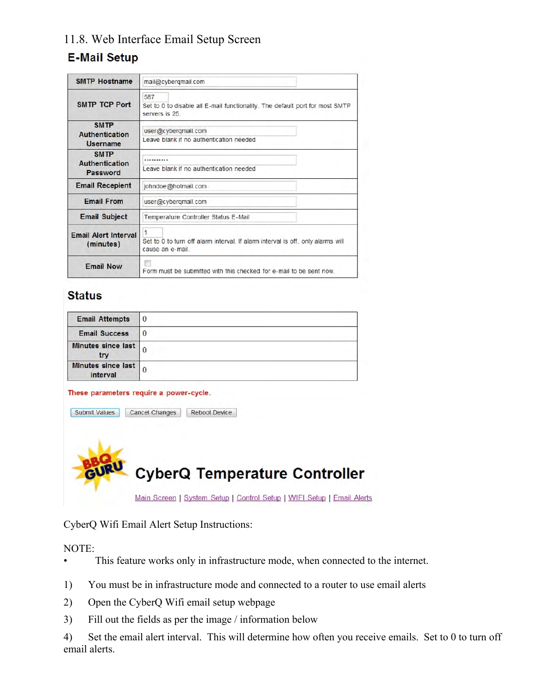## 11.8. Web Interface Email Setup Screen

## **E-Mail Setup**

| <b>SMTP Hostname</b>                             | mail@cybergmail.com                                                                                      |  |
|--------------------------------------------------|----------------------------------------------------------------------------------------------------------|--|
| <b>SMTP TCP Port</b>                             | 587<br>Set to 0 to disable all E-mail functionality. The default port for most SMTP<br>servers is 25.    |  |
| <b>SMTP</b><br>Authentication<br><b>Username</b> | user@cyberqmail.com<br>Leave blank if no authentication needed                                           |  |
| <b>SMTP</b><br>Authentication<br>Password        | <br>Leave blank if no authentication needed                                                              |  |
| <b>Email Recepient</b>                           | johndoe@hotmail.com                                                                                      |  |
| <b>Email From</b>                                | user@cybergmail.com                                                                                      |  |
| <b>Email Subject</b>                             | Temperature Controller Status E-Mail                                                                     |  |
| <b>Email Alert Interval</b><br>(minutes)         | 1<br>Set to 0 to turn off alarm interval. If alarm interval is off, only alarms will<br>cause an e-mail. |  |
| <b>Email Now</b>                                 | Form must be submitted with this checked for e-mail to be sent now.                                      |  |

## **Status**

| <b>Email Attempts</b>          |   |
|--------------------------------|---|
| <b>Email Success</b>           | U |
| Minutes since last<br>try      |   |
| Minutes since last<br>interval |   |

#### These parameters require a power-cycle.

| Submit Values | Reboot Device<br><b>Cancel Changes</b>                                 |  |
|---------------|------------------------------------------------------------------------|--|
|               |                                                                        |  |
|               | <b>CyberQ Temperature Controller</b>                                   |  |
|               | Main Screen   System Setup   Control Setup   WIFI Setup   Email Alerts |  |

CyberQ Wifi Email Alert Setup Instructions:

NOTE:

- This feature works only in infrastructure mode, when connected to the internet.
- 1) You must be in infrastructure mode and connected to a router to use email alerts
- 2) Open the CyberQ Wifi email setup webpage
- 3) Fill out the fields as per the image / information below
- 4) Set the email alert interval. This will determine how often you receive emails. Set to 0 to turn off email alerts.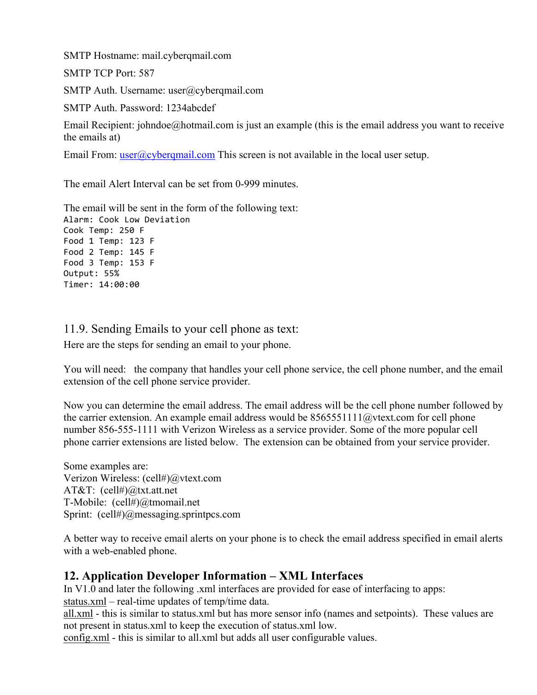SMTP Hostname: mail.cyberqmail.com

SMTP TCP Port: 587

SMTP Auth. Username: user@cyberqmail.com

SMTP Auth. Password: 1234abcdef

Email Recipient: johndoe@hotmail.com is just an example (this is the email address you want to receive the emails at)

Email From:  $user@cyberqmail.com$  This screen is not available in the local user setup.

The email Alert Interval can be set from 0-999 minutes.

The email will be sent in the form of the following text: Alarm: Cook Low Deviation Cook Temp: 250 F Food 1 Temp: 123 F Food 2 Temp: 145 F Food 3 Temp: 153 F Output: 55% Timer: 14:00:00

11.9. Sending Emails to your cell phone as text:

Here are the steps for sending an email to your phone.

You will need: the company that handles your cell phone service, the cell phone number, and the email extension of the cell phone service provider.

Now you can determine the email address. The email address will be the cell phone number followed by the carrier extension. An example email address would be  $8565551111@$ vtext.com for cell phone number 856-555-1111 with Verizon Wireless as a service provider. Some of the more popular cell phone carrier extensions are listed below. The extension can be obtained from your service provider.

Some examples are: Verizon Wireless: (cell#)@vtext.com AT&T: (cell#)@txt.att.net T-Mobile: (cell#)@tmomail.net Sprint: (cell#)@messaging.sprintpcs.com

A better way to receive email alerts on your phone is to check the email address specified in email alerts with a web-enabled phone.

## **12. Application Developer Information – XML Interfaces**

In V1.0 and later the following .xml interfaces are provided for ease of interfacing to apps: status.xml – real-time updates of temp/time data.

all.xml - this is similar to status.xml but has more sensor info (names and setpoints). These values are not present in status.xml to keep the execution of status.xml low.

config.xml - this is similar to all.xml but adds all user configurable values.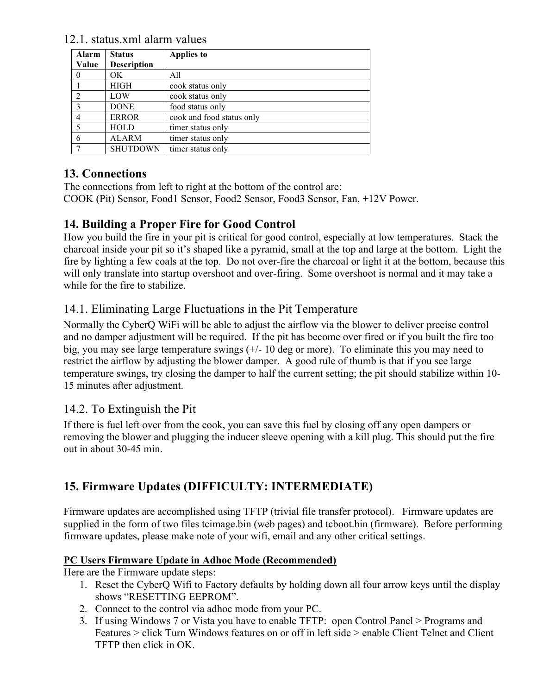12.1. status.xml alarm values

| Alarm<br>Value | <b>Status</b><br><b>Description</b> | <b>Applies to</b>         |
|----------------|-------------------------------------|---------------------------|
| 0              | OK.                                 | All                       |
|                | <b>HIGH</b>                         | cook status only          |
| $\mathfrak{D}$ | LOW                                 | cook status only          |
| 3              | <b>DONE</b>                         | food status only          |
| 4              | <b>ERROR</b>                        | cook and food status only |
|                | <b>HOLD</b>                         | timer status only         |
| 6              | <b>ALARM</b>                        | timer status only         |
|                | <b>SHUTDOWN</b>                     | timer status only         |

## **13. Connections**

The connections from left to right at the bottom of the control are: COOK (Pit) Sensor, Food1 Sensor, Food2 Sensor, Food3 Sensor, Fan, +12V Power.

## **14. Building a Proper Fire for Good Control**

How you build the fire in your pit is critical for good control, especially at low temperatures. Stack the charcoal inside your pit so it's shaped like a pyramid, small at the top and large at the bottom. Light the fire by lighting a few coals at the top. Do not over-fire the charcoal or light it at the bottom, because this will only translate into startup overshoot and over-firing. Some overshoot is normal and it may take a while for the fire to stabilize.

## 14.1. Eliminating Large Fluctuations in the Pit Temperature

Normally the CyberQ WiFi will be able to adjust the airflow via the blower to deliver precise control and no damper adjustment will be required. If the pit has become over fired or if you built the fire too big, you may see large temperature swings (+/- 10 deg or more). To eliminate this you may need to restrict the airflow by adjusting the blower damper. A good rule of thumb is that if you see large temperature swings, try closing the damper to half the current setting; the pit should stabilize within 10- 15 minutes after adjustment.

## 14.2. To Extinguish the Pit

If there is fuel left over from the cook, you can save this fuel by closing off any open dampers or removing the blower and plugging the inducer sleeve opening with a kill plug. This should put the fire out in about 30-45 min.

## **15. Firmware Updates (DIFFICULTY: INTERMEDIATE)**

Firmware updates are accomplished using TFTP (trivial file transfer protocol). Firmware updates are supplied in the form of two files tcimage.bin (web pages) and tcboot.bin (firmware). Before performing firmware updates, please make note of your wifi, email and any other critical settings.

#### **PC Users Firmware Update in Adhoc Mode (Recommended)**

Here are the Firmware update steps:

- 1. Reset the CyberQ Wifi to Factory defaults by holding down all four arrow keys until the display shows "RESETTING EEPROM".
- 2. Connect to the control via adhoc mode from your PC.
- 3. If using Windows 7 or Vista you have to enable TFTP: open Control Panel > Programs and Features > click Turn Windows features on or off in left side > enable Client Telnet and Client TFTP then click in OK.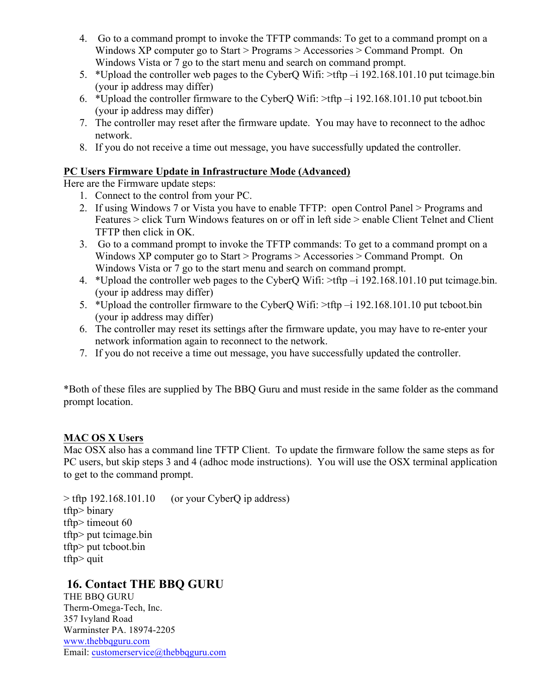- 4. Go to a command prompt to invoke the TFTP commands: To get to a command prompt on a Windows XP computer go to Start > Programs > Accessories > Command Prompt. On Windows Vista or 7 go to the start menu and search on command prompt.
- 5. \*Upload the controller web pages to the CyberQ Wifi: >tftp –i 192.168.101.10 put tcimage.bin (your ip address may differ)
- 6. \*Upload the controller firmware to the CyberQ Wifi: >tftp –i 192.168.101.10 put tcboot.bin (your ip address may differ)
- 7. The controller may reset after the firmware update. You may have to reconnect to the adhoc network.
- 8. If you do not receive a time out message, you have successfully updated the controller.

#### **PC Users Firmware Update in Infrastructure Mode (Advanced)**

Here are the Firmware update steps:

- 1. Connect to the control from your PC.
- 2. If using Windows 7 or Vista you have to enable TFTP: open Control Panel > Programs and Features > click Turn Windows features on or off in left side > enable Client Telnet and Client TFTP then click in OK.
- 3. Go to a command prompt to invoke the TFTP commands: To get to a command prompt on a Windows XP computer go to Start > Programs > Accessories > Command Prompt. On Windows Vista or 7 go to the start menu and search on command prompt.
- 4. \*Upload the controller web pages to the CyberQ Wifi: >tftp –i 192.168.101.10 put tcimage.bin. (your ip address may differ)
- 5. \*Upload the controller firmware to the CyberQ Wifi: >tftp –i 192.168.101.10 put tcboot.bin (your ip address may differ)
- 6. The controller may reset its settings after the firmware update, you may have to re-enter your network information again to reconnect to the network.
- 7. If you do not receive a time out message, you have successfully updated the controller.

\*Both of these files are supplied by The BBQ Guru and must reside in the same folder as the command prompt location.

#### **MAC OS X Users**

Mac OSX also has a command line TFTP Client. To update the firmware follow the same steps as for PC users, but skip steps 3 and 4 (adhoc mode instructions). You will use the OSX terminal application to get to the command prompt.

 $>$  tftp 192.168.101.10 (or your CyberQ ip address) tftp> binary tftp> timeout 60 tftp> put tcimage.bin tftp> put tcboot.bin tftp> quit

## **16. Contact THE BBQ GURU**

THE BBQ GURU Therm-Omega-Tech, Inc. 357 Ivyland Road Warminster PA. 18974-2205 www.thebbqguru.com Email: customerservice@thebbqguru.com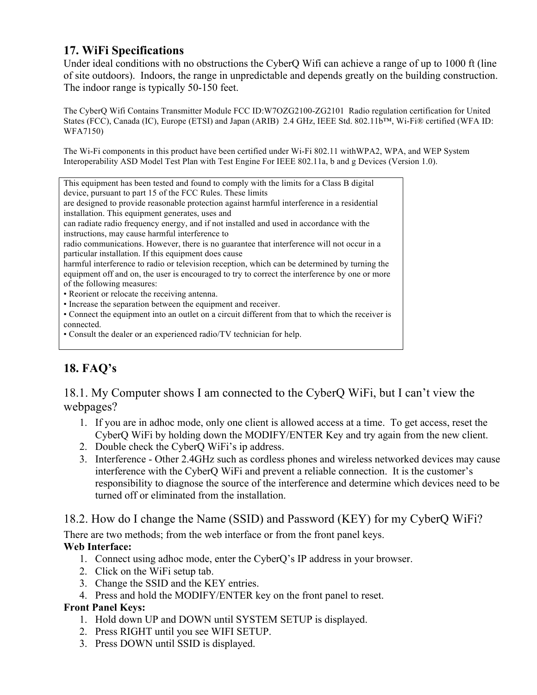## **17. WiFi Specifications**

Under ideal conditions with no obstructions the CyberQ Wifi can achieve a range of up to 1000 ft (line of site outdoors). Indoors, the range in unpredictable and depends greatly on the building construction. The indoor range is typically 50-150 feet.

The CyberQ Wifi Contains Transmitter Module FCC ID:W7OZG2100-ZG2101 Radio regulation certification for United States (FCC), Canada (IC), Europe (ETSI) and Japan (ARIB) 2.4 GHz, IEEE Std. 802.11b™, Wi-Fi® certified (WFA ID: WFA7150)

The Wi-Fi components in this product have been certified under Wi-Fi 802.11 withWPA2, WPA, and WEP System Interoperability ASD Model Test Plan with Test Engine For IEEE 802.11a, b and g Devices (Version 1.0).

## **18. FAQ's**

18.1. My Computer shows I am connected to the CyberQ WiFi, but I can't view the webpages?

- 1. If you are in adhoc mode, only one client is allowed access at a time. To get access, reset the CyberQ WiFi by holding down the MODIFY/ENTER Key and try again from the new client.
- 2. Double check the CyberQ WiFi's ip address.
- 3. Interference Other 2.4GHz such as cordless phones and wireless networked devices may cause interference with the CyberQ WiFi and prevent a reliable connection. It is the customer's responsibility to diagnose the source of the interference and determine which devices need to be turned off or eliminated from the installation.

#### 18.2. How do I change the Name (SSID) and Password (KEY) for my CyberQ WiFi?

There are two methods; from the web interface or from the front panel keys.

#### **Web Interface:**

- 1. Connect using adhoc mode, enter the CyberQ's IP address in your browser.
- 2. Click on the WiFi setup tab.
- 3. Change the SSID and the KEY entries.
- 4. Press and hold the MODIFY/ENTER key on the front panel to reset.

#### **Front Panel Keys:**

- 1. Hold down UP and DOWN until SYSTEM SETUP is displayed.
- 2. Press RIGHT until you see WIFI SETUP.
- 3. Press DOWN until SSID is displayed.